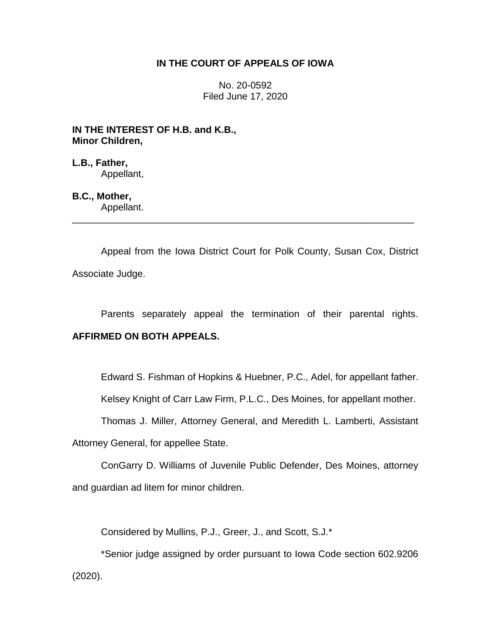### **IN THE COURT OF APPEALS OF IOWA**

No. 20-0592 Filed June 17, 2020

**IN THE INTEREST OF H.B. and K.B., Minor Children,**

**L.B., Father,** Appellant,

# **B.C., Mother,**

Appellant. \_\_\_\_\_\_\_\_\_\_\_\_\_\_\_\_\_\_\_\_\_\_\_\_\_\_\_\_\_\_\_\_\_\_\_\_\_\_\_\_\_\_\_\_\_\_\_\_\_\_\_\_\_\_\_\_\_\_\_\_\_\_\_\_

Appeal from the Iowa District Court for Polk County, Susan Cox, District Associate Judge.

Parents separately appeal the termination of their parental rights.

## **AFFIRMED ON BOTH APPEALS.**

Edward S. Fishman of Hopkins & Huebner, P.C., Adel, for appellant father.

Kelsey Knight of Carr Law Firm, P.L.C., Des Moines, for appellant mother.

Thomas J. Miller, Attorney General, and Meredith L. Lamberti, Assistant Attorney General, for appellee State.

ConGarry D. Williams of Juvenile Public Defender, Des Moines, attorney and guardian ad litem for minor children.

Considered by Mullins, P.J., Greer, J., and Scott, S.J.\*

\*Senior judge assigned by order pursuant to Iowa Code section 602.9206 (2020).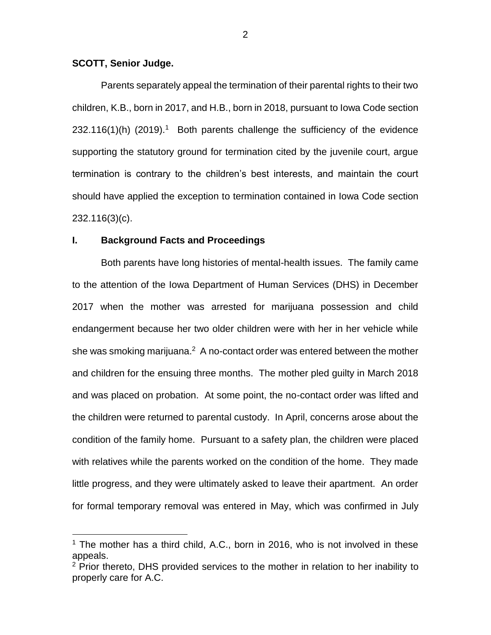#### **SCOTT, Senior Judge.**

 $\overline{a}$ 

Parents separately appeal the termination of their parental rights to their two children, K.B., born in 2017, and H.B., born in 2018, pursuant to Iowa Code section  $232.116(1)$ (h) (2019).<sup>1</sup> Both parents challenge the sufficiency of the evidence supporting the statutory ground for termination cited by the juvenile court, argue termination is contrary to the children's best interests, and maintain the court should have applied the exception to termination contained in Iowa Code section 232.116(3)(c).

#### **I. Background Facts and Proceedings**

Both parents have long histories of mental-health issues. The family came to the attention of the Iowa Department of Human Services (DHS) in December 2017 when the mother was arrested for marijuana possession and child endangerment because her two older children were with her in her vehicle while she was smoking marijuana.<sup>2</sup> A no-contact order was entered between the mother and children for the ensuing three months. The mother pled guilty in March 2018 and was placed on probation. At some point, the no-contact order was lifted and the children were returned to parental custody. In April, concerns arose about the condition of the family home. Pursuant to a safety plan, the children were placed with relatives while the parents worked on the condition of the home. They made little progress, and they were ultimately asked to leave their apartment. An order for formal temporary removal was entered in May, which was confirmed in July

 $1$  The mother has a third child, A.C., born in 2016, who is not involved in these appeals.

<sup>&</sup>lt;sup>2</sup> Prior thereto, DHS provided services to the mother in relation to her inability to properly care for A.C.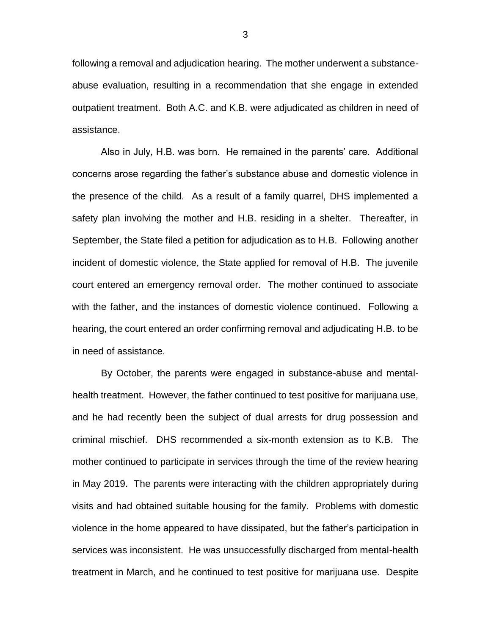following a removal and adjudication hearing. The mother underwent a substanceabuse evaluation, resulting in a recommendation that she engage in extended outpatient treatment. Both A.C. and K.B. were adjudicated as children in need of assistance.

Also in July, H.B. was born. He remained in the parents' care. Additional concerns arose regarding the father's substance abuse and domestic violence in the presence of the child. As a result of a family quarrel, DHS implemented a safety plan involving the mother and H.B. residing in a shelter. Thereafter, in September, the State filed a petition for adjudication as to H.B. Following another incident of domestic violence, the State applied for removal of H.B. The juvenile court entered an emergency removal order. The mother continued to associate with the father, and the instances of domestic violence continued. Following a hearing, the court entered an order confirming removal and adjudicating H.B. to be in need of assistance.

By October, the parents were engaged in substance-abuse and mentalhealth treatment. However, the father continued to test positive for marijuana use, and he had recently been the subject of dual arrests for drug possession and criminal mischief. DHS recommended a six-month extension as to K.B. The mother continued to participate in services through the time of the review hearing in May 2019. The parents were interacting with the children appropriately during visits and had obtained suitable housing for the family. Problems with domestic violence in the home appeared to have dissipated, but the father's participation in services was inconsistent. He was unsuccessfully discharged from mental-health treatment in March, and he continued to test positive for marijuana use. Despite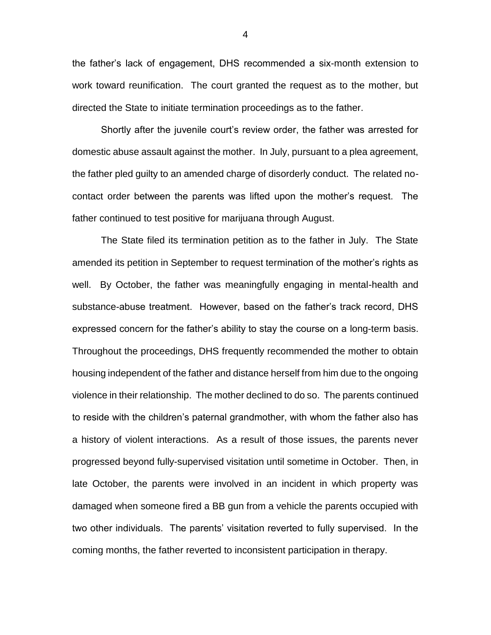the father's lack of engagement, DHS recommended a six-month extension to work toward reunification. The court granted the request as to the mother, but directed the State to initiate termination proceedings as to the father.

Shortly after the juvenile court's review order, the father was arrested for domestic abuse assault against the mother. In July, pursuant to a plea agreement, the father pled guilty to an amended charge of disorderly conduct. The related nocontact order between the parents was lifted upon the mother's request. The father continued to test positive for marijuana through August.

The State filed its termination petition as to the father in July. The State amended its petition in September to request termination of the mother's rights as well. By October, the father was meaningfully engaging in mental-health and substance-abuse treatment. However, based on the father's track record, DHS expressed concern for the father's ability to stay the course on a long-term basis. Throughout the proceedings, DHS frequently recommended the mother to obtain housing independent of the father and distance herself from him due to the ongoing violence in their relationship. The mother declined to do so. The parents continued to reside with the children's paternal grandmother, with whom the father also has a history of violent interactions. As a result of those issues, the parents never progressed beyond fully-supervised visitation until sometime in October. Then, in late October, the parents were involved in an incident in which property was damaged when someone fired a BB gun from a vehicle the parents occupied with two other individuals. The parents' visitation reverted to fully supervised. In the coming months, the father reverted to inconsistent participation in therapy.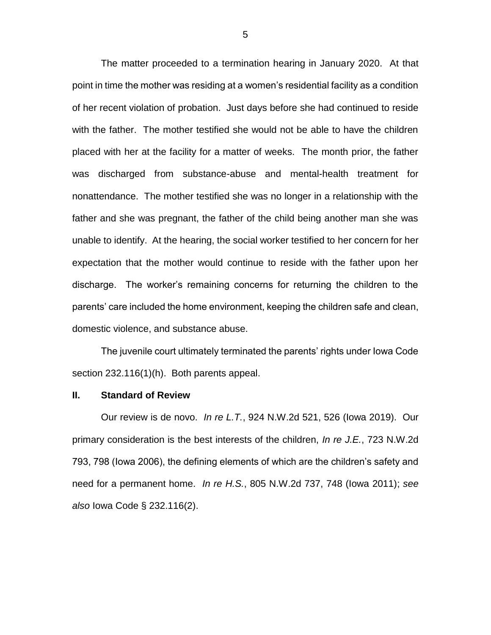The matter proceeded to a termination hearing in January 2020. At that point in time the mother was residing at a women's residential facility as a condition of her recent violation of probation. Just days before she had continued to reside with the father. The mother testified she would not be able to have the children placed with her at the facility for a matter of weeks. The month prior, the father was discharged from substance-abuse and mental-health treatment for nonattendance. The mother testified she was no longer in a relationship with the father and she was pregnant, the father of the child being another man she was unable to identify. At the hearing, the social worker testified to her concern for her expectation that the mother would continue to reside with the father upon her discharge. The worker's remaining concerns for returning the children to the parents' care included the home environment, keeping the children safe and clean, domestic violence, and substance abuse.

The juvenile court ultimately terminated the parents' rights under Iowa Code section 232.116(1)(h). Both parents appeal.

#### **II. Standard of Review**

Our review is de novo. *In re L.T.*, 924 N.W.2d 521, 526 (Iowa 2019). Our primary consideration is the best interests of the children, *In re J.E.*, 723 N.W.2d 793, 798 (Iowa 2006), the defining elements of which are the children's safety and need for a permanent home. *In re H.S.*, 805 N.W.2d 737, 748 (Iowa 2011); *see also* Iowa Code § 232.116(2).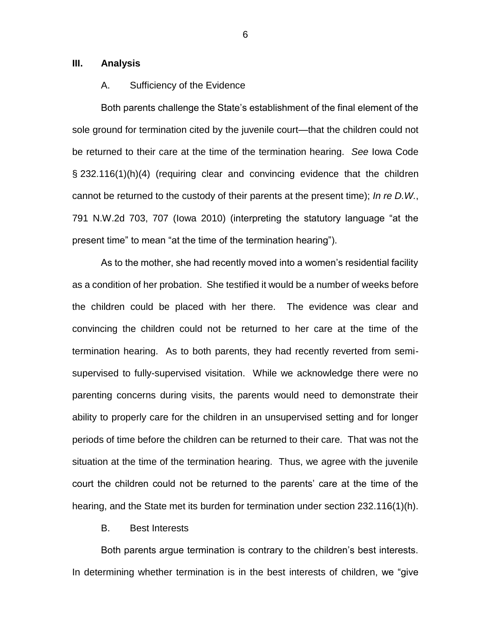#### **III. Analysis**

#### A. Sufficiency of the Evidence

Both parents challenge the State's establishment of the final element of the sole ground for termination cited by the juvenile court—that the children could not be returned to their care at the time of the termination hearing. *See* Iowa Code § 232.116(1)(h)(4) (requiring clear and convincing evidence that the children cannot be returned to the custody of their parents at the present time); *In re D.W.*, 791 N.W.2d 703, 707 (Iowa 2010) (interpreting the statutory language "at the present time" to mean "at the time of the termination hearing").

As to the mother, she had recently moved into a women's residential facility as a condition of her probation. She testified it would be a number of weeks before the children could be placed with her there. The evidence was clear and convincing the children could not be returned to her care at the time of the termination hearing. As to both parents, they had recently reverted from semisupervised to fully-supervised visitation. While we acknowledge there were no parenting concerns during visits, the parents would need to demonstrate their ability to properly care for the children in an unsupervised setting and for longer periods of time before the children can be returned to their care. That was not the situation at the time of the termination hearing. Thus, we agree with the juvenile court the children could not be returned to the parents' care at the time of the hearing, and the State met its burden for termination under section 232.116(1)(h).

#### B. Best Interests

Both parents argue termination is contrary to the children's best interests. In determining whether termination is in the best interests of children, we "give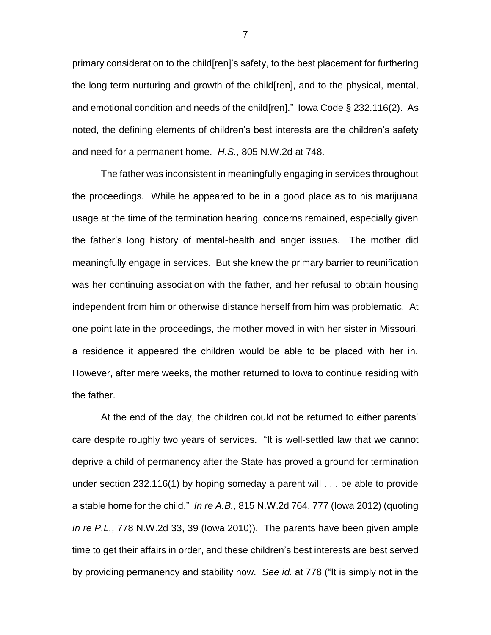primary consideration to the child[ren]'s safety, to the best placement for furthering the long-term nurturing and growth of the child[ren], and to the physical, mental, and emotional condition and needs of the child[ren]." Iowa Code § 232.116(2). As noted, the defining elements of children's best interests are the children's safety and need for a permanent home. *H.S.*, 805 N.W.2d at 748.

The father was inconsistent in meaningfully engaging in services throughout the proceedings. While he appeared to be in a good place as to his marijuana usage at the time of the termination hearing, concerns remained, especially given the father's long history of mental-health and anger issues. The mother did meaningfully engage in services. But she knew the primary barrier to reunification was her continuing association with the father, and her refusal to obtain housing independent from him or otherwise distance herself from him was problematic. At one point late in the proceedings, the mother moved in with her sister in Missouri, a residence it appeared the children would be able to be placed with her in. However, after mere weeks, the mother returned to Iowa to continue residing with the father.

At the end of the day, the children could not be returned to either parents' care despite roughly two years of services. "It is well-settled law that we cannot deprive a child of permanency after the State has proved a ground for termination under section 232.116(1) by hoping someday a parent will . . . be able to provide a stable home for the child." *In re A.B.*, 815 N.W.2d 764, 777 (Iowa 2012) (quoting *In re P.L.*, 778 N.W.2d 33, 39 (Iowa 2010)). The parents have been given ample time to get their affairs in order, and these children's best interests are best served by providing permanency and stability now. *See id.* at 778 ("It is simply not in the

7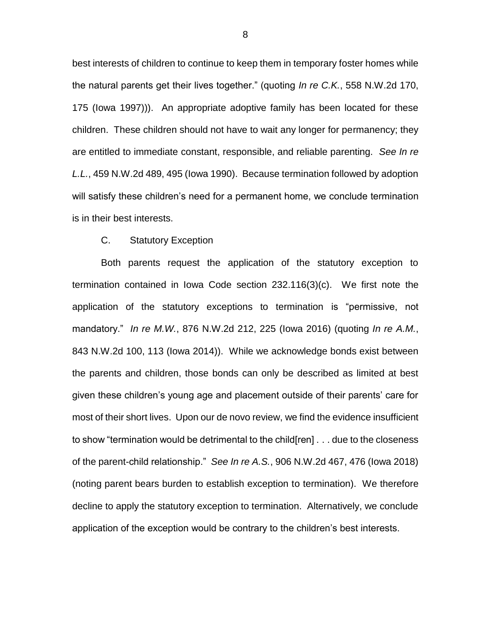best interests of children to continue to keep them in temporary foster homes while the natural parents get their lives together." (quoting *In re C.K.*, 558 N.W.2d 170, 175 (Iowa 1997))). An appropriate adoptive family has been located for these children. These children should not have to wait any longer for permanency; they are entitled to immediate constant, responsible, and reliable parenting. *See In re L.L.*, 459 N.W.2d 489, 495 (Iowa 1990). Because termination followed by adoption will satisfy these children's need for a permanent home, we conclude termination is in their best interests.

#### C. Statutory Exception

Both parents request the application of the statutory exception to termination contained in Iowa Code section 232.116(3)(c). We first note the application of the statutory exceptions to termination is "permissive, not mandatory." *In re M.W.*, 876 N.W.2d 212, 225 (Iowa 2016) (quoting *In re A.M.*, 843 N.W.2d 100, 113 (Iowa 2014)). While we acknowledge bonds exist between the parents and children, those bonds can only be described as limited at best given these children's young age and placement outside of their parents' care for most of their short lives. Upon our de novo review, we find the evidence insufficient to show "termination would be detrimental to the child[ren] . . . due to the closeness of the parent-child relationship." *See In re A.S.*, 906 N.W.2d 467, 476 (Iowa 2018) (noting parent bears burden to establish exception to termination). We therefore decline to apply the statutory exception to termination. Alternatively, we conclude application of the exception would be contrary to the children's best interests.